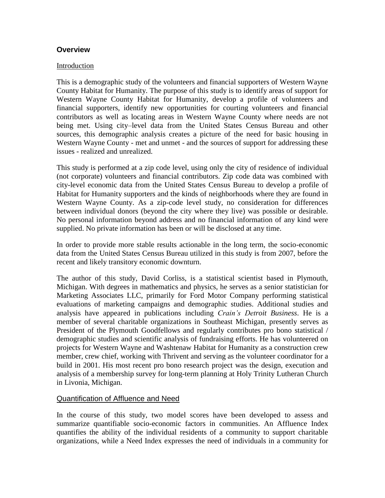### **Overview**

#### Introduction

This is a demographic study of the volunteers and financial supporters of Western Wayne County Habitat for Humanity. The purpose of this study is to identify areas of support for Western Wayne County Habitat for Humanity, develop a profile of volunteers and financial supporters, identify new opportunities for courting volunteers and financial contributors as well as locating areas in Western Wayne County where needs are not being met. Using city–level data from the United States Census Bureau and other sources, this demographic analysis creates a picture of the need for basic housing in Western Wayne County - met and unmet - and the sources of support for addressing these issues - realized and unrealized.

This study is performed at a zip code level, using only the city of residence of individual (not corporate) volunteers and financial contributors. Zip code data was combined with city-level economic data from the United States Census Bureau to develop a profile of Habitat for Humanity supporters and the kinds of neighborhoods where they are found in Western Wayne County. As a zip-code level study, no consideration for differences between individual donors (beyond the city where they live) was possible or desirable. No personal information beyond address and no financial information of any kind were supplied. No private information has been or will be disclosed at any time.

In order to provide more stable results actionable in the long term, the socio-economic data from the United States Census Bureau utilized in this study is from 2007, before the recent and likely transitory economic downturn.

The author of this study, David Corliss, is a statistical scientist based in Plymouth, Michigan. With degrees in mathematics and physics, he serves as a senior statistician for Marketing Associates LLC, primarily for Ford Motor Company performing statistical evaluations of marketing campaigns and demographic studies. Additional studies and analysis have appeared in publications including *Crain's Detroit Business*. He is a member of several charitable organizations in Southeast Michigan, presently serves as President of the Plymouth Goodfellows and regularly contributes pro bono statistical / demographic studies and scientific analysis of fundraising efforts. He has volunteered on projects for Western Wayne and Washtenaw Habitat for Humanity as a construction crew member, crew chief, working with Thrivent and serving as the volunteer coordinator for a build in 2001. His most recent pro bono research project was the design, execution and analysis of a membership survey for long-term planning at Holy Trinity Lutheran Church in Livonia, Michigan.

### Quantification of Affluence and Need

In the course of this study, two model scores have been developed to assess and summarize quantifiable socio-economic factors in communities. An Affluence Index quantifies the ability of the individual residents of a community to support charitable organizations, while a Need Index expresses the need of individuals in a community for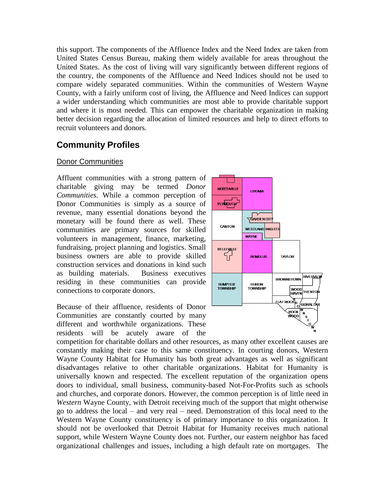this support. The components of the Affluence Index and the Need Index are taken from United States Census Bureau, making them widely available for areas throughout the United States. As the cost of living will vary significantly between different regions of the country, the components of the Affluence and Need Indices should not be used to compare widely separated communities. Within the communities of Western Wayne County, with a fairly uniform cost of living, the Affluence and Need Indices can support a wider understanding which communities are most able to provide charitable support and where it is most needed. This can empower the charitable organization in making better decision regarding the allocation of limited resources and help to direct efforts to recruit volunteers and donors.

# **Community Profiles**

### Donor Communities

Affluent communities with a strong pattern of charitable giving may be termed *Donor Communities*. While a common perception of Donor Communities is simply as a source of revenue, many essential donations beyond the monetary will be found there as well. These communities are primary sources for skilled volunteers in management, finance, marketing, fundraising, project planning and logistics. Small business owners are able to provide skilled construction services and donations in kind such as building materials. Business executives residing in these communities can provide connections to corporate donors.

Because of their affluence, residents of Donor Communities are constantly courted by many different and worthwhile organizations. These residents will be acutely aware of the



competition for charitable dollars and other resources, as many other excellent causes are constantly making their case to this same constituency. In courting donors, Western Wayne County Habitat for Humanity has both great advantages as well as significant disadvantages relative to other charitable organizations. Habitat for Humanity is universally known and respected. The excellent reputation of the organization opens doors to individual, small business, community-based Not-For-Profits such as schools and churches, and corporate donors. However, the common perception is of little need in *Western* Wayne County, with Detroit receiving much of the support that might otherwise go to address the local – and very real – need. Demonstration of this local need to the Western Wayne County constituency is of primary importance to this organization. It should not be overlooked that Detroit Habitat for Humanity receives much national support, while Western Wayne County does not. Further, our eastern neighbor has faced organizational challenges and issues, including a high default rate on mortgages. The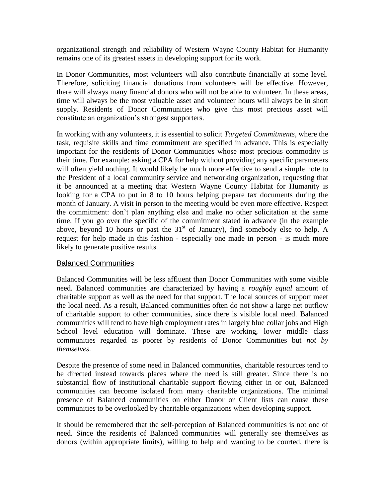organizational strength and reliability of Western Wayne County Habitat for Humanity remains one of its greatest assets in developing support for its work.

In Donor Communities, most volunteers will also contribute financially at some level. Therefore, soliciting financial donations from volunteers will be effective. However, there will always many financial donors who will not be able to volunteer. In these areas, time will always be the most valuable asset and volunteer hours will always be in short supply. Residents of Donor Communities who give this most precious asset will constitute an organization's strongest supporters.

In working with any volunteers, it is essential to solicit *Targeted Commitments*, where the task, requisite skills and time commitment are specified in advance. This is especially important for the residents of Donor Communities whose most precious commodity is their time. For example: asking a CPA for help without providing any specific parameters will often yield nothing. It would likely be much more effective to send a simple note to the President of a local community service and networking organization, requesting that it be announced at a meeting that Western Wayne County Habitat for Humanity is looking for a CPA to put in 8 to 10 hours helping prepare tax documents during the month of January. A visit in person to the meeting would be even more effective. Respect the commitment: don't plan anything else and make no other solicitation at the same time. If you go over the specific of the commitment stated in advance (in the example above, beyond 10 hours or past the  $31<sup>st</sup>$  of January), find somebody else to help. A request for help made in this fashion - especially one made in person - is much more likely to generate positive results.

### Balanced Communities

Balanced Communities will be less affluent than Donor Communities with some visible need. Balanced communities are characterized by having a *roughly equal* amount of charitable support as well as the need for that support. The local sources of support meet the local need. As a result, Balanced communities often do not show a large net outflow of charitable support to other communities, since there is visible local need. Balanced communities will tend to have high employment rates in largely blue collar jobs and High School level education will dominate. These are working, lower middle class communities regarded as poorer by residents of Donor Communities but *not by themselves*.

Despite the presence of some need in Balanced communities, charitable resources tend to be directed instead towards places where the need is still greater. Since there is no substantial flow of institutional charitable support flowing either in or out, Balanced communities can become isolated from many charitable organizations. The minimal presence of Balanced communities on either Donor or Client lists can cause these communities to be overlooked by charitable organizations when developing support.

It should be remembered that the self-perception of Balanced communities is not one of need. Since the residents of Balanced communities will generally see themselves as donors (within appropriate limits), willing to help and wanting to be courted, there is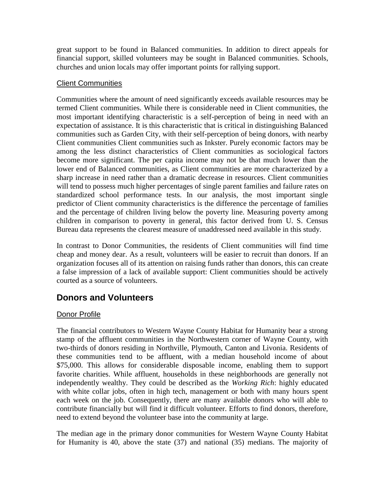great support to be found in Balanced communities. In addition to direct appeals for financial support, skilled volunteers may be sought in Balanced communities. Schools, churches and union locals may offer important points for rallying support.

### Client Communities

Communities where the amount of need significantly exceeds available resources may be termed Client communities. While there is considerable need in Client communities, the most important identifying characteristic is a self-perception of being in need with an expectation of assistance. It is this characteristic that is critical in distinguishing Balanced communities such as Garden City, with their self-perception of being donors, with nearby Client communities Client communities such as Inkster. Purely economic factors may be among the less distinct characteristics of Client communities as sociological factors become more significant. The per capita income may not be that much lower than the lower end of Balanced communities, as Client communities are more characterized by a sharp increase in need rather than a dramatic decrease in resources. Client communities will tend to possess much higher percentages of single parent families and failure rates on standardized school performance tests. In our analysis, the most important single predictor of Client community characteristics is the difference the percentage of families and the percentage of children living below the poverty line. Measuring poverty among children in comparison to poverty in general, this factor derived from U. S. Census Bureau data represents the clearest measure of unaddressed need available in this study.

In contrast to Donor Communities, the residents of Client communities will find time cheap and money dear. As a result, volunteers will be easier to recruit than donors. If an organization focuses all of its attention on raising funds rather than donors, this can create a false impression of a lack of available support: Client communities should be actively courted as a source of volunteers.

## **Donors and Volunteers**

## Donor Profile

The financial contributors to Western Wayne County Habitat for Humanity bear a strong stamp of the affluent communities in the Northwestern corner of Wayne County, with two-thirds of donors residing in Northville, Plymouth, Canton and Livonia. Residents of these communities tend to be affluent, with a median household income of about \$75,000. This allows for considerable disposable income, enabling them to support favorite charities. While affluent, households in these neighborhoods are generally not independently wealthy. They could be described as the *Working Rich*: highly educated with white collar jobs, often in high tech, management or both with many hours spent each week on the job. Consequently, there are many available donors who will able to contribute financially but will find it difficult volunteer. Efforts to find donors, therefore, need to extend beyond the volunteer base into the community at large.

The median age in the primary donor communities for Western Wayne County Habitat for Humanity is 40, above the state (37) and national (35) medians. The majority of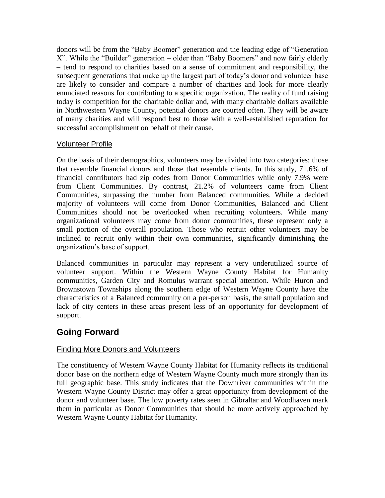donors will be from the "Baby Boomer" generation and the leading edge of "Generation X". While the "Builder" generation – older than "Baby Boomers" and now fairly elderly – tend to respond to charities based on a sense of commitment and responsibility, the subsequent generations that make up the largest part of today's donor and volunteer base are likely to consider and compare a number of charities and look for more clearly enunciated reasons for contributing to a specific organization. The reality of fund raising today is competition for the charitable dollar and, with many charitable dollars available in Northwestern Wayne County, potential donors are courted often. They will be aware of many charities and will respond best to those with a well-established reputation for successful accomplishment on behalf of their cause.

### Volunteer Profile

On the basis of their demographics, volunteers may be divided into two categories: those that resemble financial donors and those that resemble clients. In this study, 71.6% of financial contributors had zip codes from Donor Communities while only 7.9% were from Client Communities. By contrast, 21.2% of volunteers came from Client Communities, surpassing the number from Balanced communities. While a decided majority of volunteers will come from Donor Communities, Balanced and Client Communities should not be overlooked when recruiting volunteers. While many organizational volunteers may come from donor communities, these represent only a small portion of the overall population. Those who recruit other volunteers may be inclined to recruit only within their own communities, significantly diminishing the organization's base of support.

Balanced communities in particular may represent a very underutilized source of volunteer support. Within the Western Wayne County Habitat for Humanity communities, Garden City and Romulus warrant special attention. While Huron and Brownstown Townships along the southern edge of Western Wayne County have the characteristics of a Balanced community on a per-person basis, the small population and lack of city centers in these areas present less of an opportunity for development of support.

# **Going Forward**

## Finding More Donors and Volunteers

The constituency of Western Wayne County Habitat for Humanity reflects its traditional donor base on the northern edge of Western Wayne County much more strongly than its full geographic base. This study indicates that the Downriver communities within the Western Wayne County District may offer a great opportunity from development of the donor and volunteer base. The low poverty rates seen in Gibraltar and Woodhaven mark them in particular as Donor Communities that should be more actively approached by Western Wayne County Habitat for Humanity.